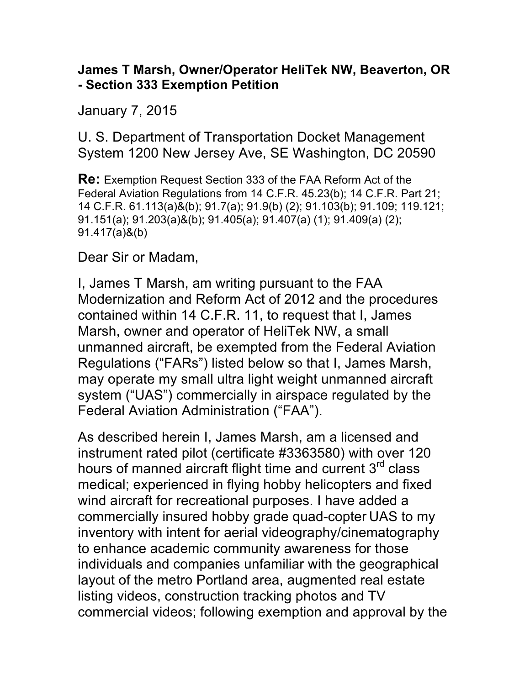## **James T Marsh, Owner/Operator HeliTek NW, Beaverton, OR - Section 333 Exemption Petition**

January 7, 2015

U. S. Department of Transportation Docket Management System 1200 New Jersey Ave, SE Washington, DC 20590

**Re:** Exemption Request Section 333 of the FAA Reform Act of the Federal Aviation Regulations from 14 C.F.R. 45.23(b); 14 C.F.R. Part 21; 14 C.F.R. 61.113(a)&(b); 91.7(a); 91.9(b) (2); 91.103(b); 91.109; 119.121; 91.151(a); 91.203(a)&(b); 91.405(a); 91.407(a) (1); 91.409(a) (2); 91.417(a)&(b)

Dear Sir or Madam,

I, James T Marsh, am writing pursuant to the FAA Modernization and Reform Act of 2012 and the procedures contained within 14 C.F.R. 11, to request that I, James Marsh, owner and operator of HeliTek NW, a small unmanned aircraft, be exempted from the Federal Aviation Regulations ("FARs") listed below so that I, James Marsh, may operate my small ultra light weight unmanned aircraft system ("UAS") commercially in airspace regulated by the Federal Aviation Administration ("FAA").

As described herein I, James Marsh, am a licensed and instrument rated pilot (certificate #3363580) with over 120 hours of manned aircraft flight time and current  $3<sup>rd</sup>$  class medical; experienced in flying hobby helicopters and fixed wind aircraft for recreational purposes. I have added a commercially insured hobby grade quad-copter UAS to my inventory with intent for aerial videography/cinematography to enhance academic community awareness for those individuals and companies unfamiliar with the geographical layout of the metro Portland area, augmented real estate listing videos, construction tracking photos and TV commercial videos; following exemption and approval by the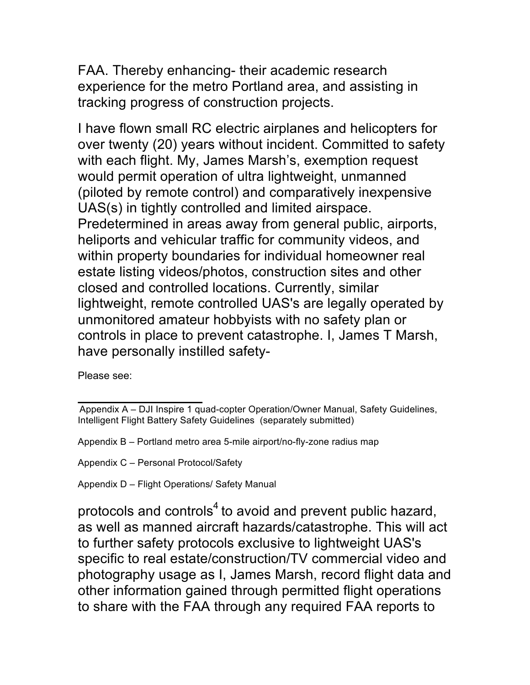FAA. Thereby enhancing- their academic research experience for the metro Portland area, and assisting in tracking progress of construction projects.

I have flown small RC electric airplanes and helicopters for over twenty (20) years without incident. Committed to safety with each flight. My, James Marsh's, exemption request would permit operation of ultra lightweight, unmanned (piloted by remote control) and comparatively inexpensive UAS(s) in tightly controlled and limited airspace. Predetermined in areas away from general public, airports, heliports and vehicular traffic for community videos, and within property boundaries for individual homeowner real estate listing videos/photos, construction sites and other closed and controlled locations. Currently, similar lightweight, remote controlled UAS's are legally operated by unmonitored amateur hobbyists with no safety plan or controls in place to prevent catastrophe. I, James T Marsh, have personally instilled safety-

Please see:

Appendix C – Personal Protocol/Safety

Appendix D – Flight Operations/ Safety Manual

protocols and controls<sup>4</sup> to avoid and prevent public hazard, as well as manned aircraft hazards/catastrophe. This will act to further safety protocols exclusive to lightweight UAS's specific to real estate/construction/TV commercial video and photography usage as I, James Marsh, record flight data and other information gained through permitted flight operations to share with the FAA through any required FAA reports to

Appendix A – DJI Inspire 1 quad-copter Operation/Owner Manual, Safety Guidelines, Intelligent Flight Battery Safety Guidelines (separately submitted)

Appendix B – Portland metro area 5-mile airport/no-fly-zone radius map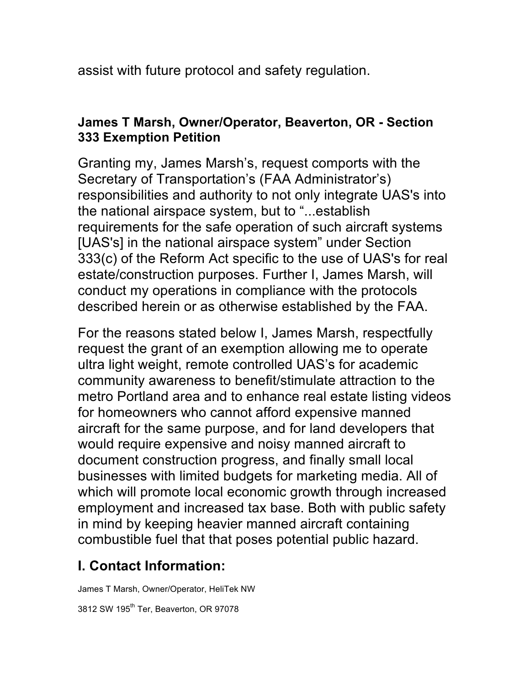assist with future protocol and safety regulation.

## **James T Marsh, Owner/Operator, Beaverton, OR - Section 333 Exemption Petition**

Granting my, James Marsh's, request comports with the Secretary of Transportation's (FAA Administrator's) responsibilities and authority to not only integrate UAS's into the national airspace system, but to "...establish requirements for the safe operation of such aircraft systems [UAS's] in the national airspace system" under Section 333(c) of the Reform Act specific to the use of UAS's for real estate/construction purposes. Further I, James Marsh, will conduct my operations in compliance with the protocols described herein or as otherwise established by the FAA.

For the reasons stated below I, James Marsh, respectfully request the grant of an exemption allowing me to operate ultra light weight, remote controlled UAS's for academic community awareness to benefit/stimulate attraction to the metro Portland area and to enhance real estate listing videos for homeowners who cannot afford expensive manned aircraft for the same purpose, and for land developers that would require expensive and noisy manned aircraft to document construction progress, and finally small local businesses with limited budgets for marketing media. All of which will promote local economic growth through increased employment and increased tax base. Both with public safety in mind by keeping heavier manned aircraft containing combustible fuel that that poses potential public hazard.

## **I. Contact Information:**

James T Marsh, Owner/Operator, HeliTek NW

3812 SW 195<sup>th</sup> Ter, Beaverton, OR 97078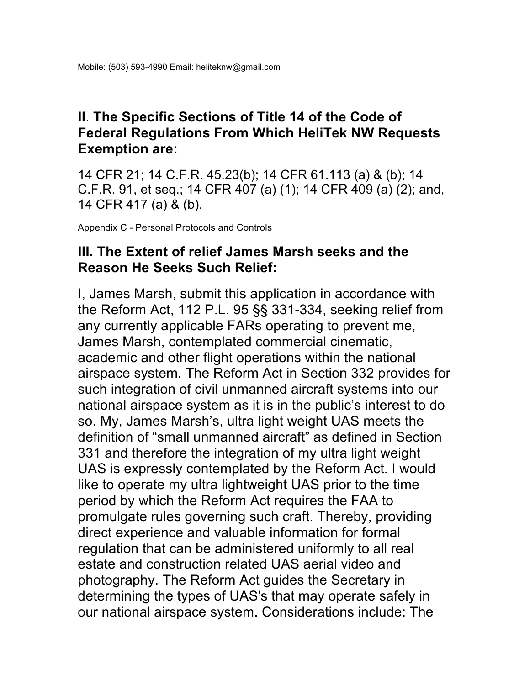## **II**. **The Specific Sections of Title 14 of the Code of Federal Regulations From Which HeliTek NW Requests Exemption are:**

14 CFR 21; 14 C.F.R. 45.23(b); 14 CFR 61.113 (a) & (b); 14 C.F.R. 91, et seq.; 14 CFR 407 (a) (1); 14 CFR 409 (a) (2); and, 14 CFR 417 (a) & (b).

Appendix C - Personal Protocols and Controls

## **III. The Extent of relief James Marsh seeks and the Reason He Seeks Such Relief:**

I, James Marsh, submit this application in accordance with the Reform Act, 112 P.L. 95 §§ 331-334, seeking relief from any currently applicable FARs operating to prevent me, James Marsh, contemplated commercial cinematic, academic and other flight operations within the national airspace system. The Reform Act in Section 332 provides for such integration of civil unmanned aircraft systems into our national airspace system as it is in the public's interest to do so. My, James Marsh's, ultra light weight UAS meets the definition of "small unmanned aircraft" as defined in Section 331 and therefore the integration of my ultra light weight UAS is expressly contemplated by the Reform Act. I would like to operate my ultra lightweight UAS prior to the time period by which the Reform Act requires the FAA to promulgate rules governing such craft. Thereby, providing direct experience and valuable information for formal regulation that can be administered uniformly to all real estate and construction related UAS aerial video and photography. The Reform Act guides the Secretary in determining the types of UAS's that may operate safely in our national airspace system. Considerations include: The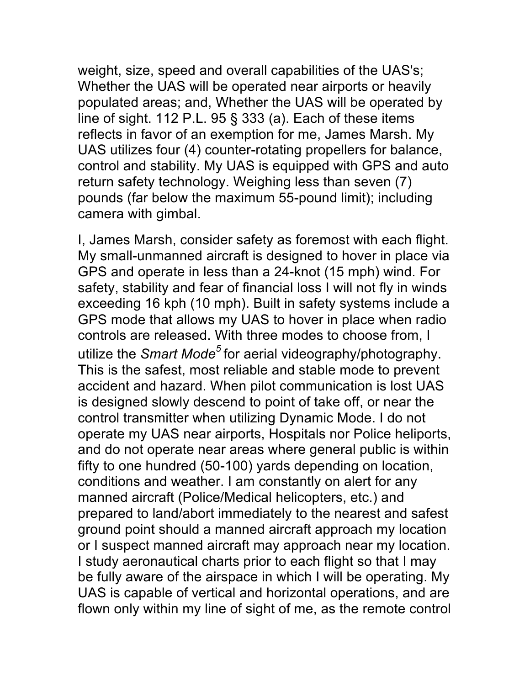weight, size, speed and overall capabilities of the UAS's; Whether the UAS will be operated near airports or heavily populated areas; and, Whether the UAS will be operated by line of sight. 112 P.L. 95 § 333 (a). Each of these items reflects in favor of an exemption for me, James Marsh. My UAS utilizes four (4) counter-rotating propellers for balance, control and stability. My UAS is equipped with GPS and auto return safety technology. Weighing less than seven (7) pounds (far below the maximum 55-pound limit); including camera with gimbal.

I, James Marsh, consider safety as foremost with each flight. My small-unmanned aircraft is designed to hover in place via GPS and operate in less than a 24-knot (15 mph) wind. For safety, stability and fear of financial loss I will not fly in winds exceeding 16 kph (10 mph). Built in safety systems include a GPS mode that allows my UAS to hover in place when radio controls are released. With three modes to choose from, I utilize the *Smart Mode<sup>5</sup>*for aerial videography/photography. This is the safest, most reliable and stable mode to prevent accident and hazard. When pilot communication is lost UAS is designed slowly descend to point of take off, or near the control transmitter when utilizing Dynamic Mode. I do not operate my UAS near airports, Hospitals nor Police heliports, and do not operate near areas where general public is within fifty to one hundred (50-100) yards depending on location, conditions and weather. I am constantly on alert for any manned aircraft (Police/Medical helicopters, etc.) and prepared to land/abort immediately to the nearest and safest ground point should a manned aircraft approach my location or I suspect manned aircraft may approach near my location. I study aeronautical charts prior to each flight so that I may be fully aware of the airspace in which I will be operating. My UAS is capable of vertical and horizontal operations, and are flown only within my line of sight of me, as the remote control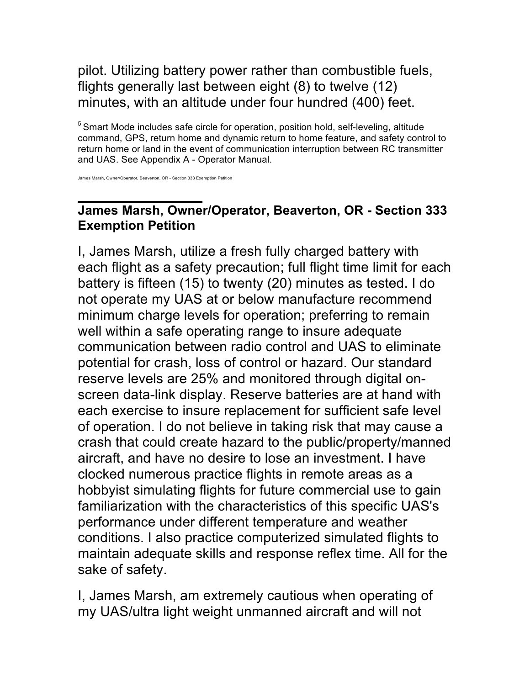## pilot. Utilizing battery power rather than combustible fuels, flights generally last between eight (8) to twelve (12) minutes, with an altitude under four hundred (400) feet.

 $5$  Smart Mode includes safe circle for operation, position hold, self-leveling, altitude command, GPS, return home and dynamic return to home feature, and safety control to return home or land in the event of communication interruption between RC transmitter and UAS. See Appendix A - Operator Manual.

James Marsh, Owner/Operator, Beaverton, OR - Section 333 Exemption Petition

## **James Marsh, Owner/Operator, Beaverton, OR - Section 333 Exemption Petition**

I, James Marsh, utilize a fresh fully charged battery with each flight as a safety precaution; full flight time limit for each battery is fifteen (15) to twenty (20) minutes as tested. I do not operate my UAS at or below manufacture recommend minimum charge levels for operation; preferring to remain well within a safe operating range to insure adequate communication between radio control and UAS to eliminate potential for crash, loss of control or hazard. Our standard reserve levels are 25% and monitored through digital onscreen data-link display. Reserve batteries are at hand with each exercise to insure replacement for sufficient safe level of operation. I do not believe in taking risk that may cause a crash that could create hazard to the public/property/manned aircraft, and have no desire to lose an investment. I have clocked numerous practice flights in remote areas as a hobbyist simulating flights for future commercial use to gain familiarization with the characteristics of this specific UAS's performance under different temperature and weather conditions. I also practice computerized simulated flights to maintain adequate skills and response reflex time. All for the sake of safety.

I, James Marsh, am extremely cautious when operating of my UAS/ultra light weight unmanned aircraft and will not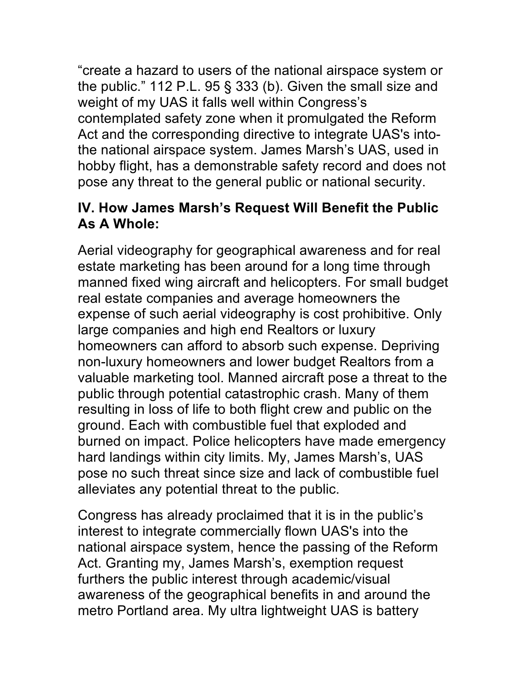"create a hazard to users of the national airspace system or the public." 112 P.L. 95 § 333 (b). Given the small size and weight of my UAS it falls well within Congress's contemplated safety zone when it promulgated the Reform Act and the corresponding directive to integrate UAS's intothe national airspace system. James Marsh's UAS, used in hobby flight, has a demonstrable safety record and does not pose any threat to the general public or national security.

## **IV. How James Marsh's Request Will Benefit the Public As A Whole:**

Aerial videography for geographical awareness and for real estate marketing has been around for a long time through manned fixed wing aircraft and helicopters. For small budget real estate companies and average homeowners the expense of such aerial videography is cost prohibitive. Only large companies and high end Realtors or luxury homeowners can afford to absorb such expense. Depriving non-luxury homeowners and lower budget Realtors from a valuable marketing tool. Manned aircraft pose a threat to the public through potential catastrophic crash. Many of them resulting in loss of life to both flight crew and public on the ground. Each with combustible fuel that exploded and burned on impact. Police helicopters have made emergency hard landings within city limits. My, James Marsh's, UAS pose no such threat since size and lack of combustible fuel alleviates any potential threat to the public.

Congress has already proclaimed that it is in the public's interest to integrate commercially flown UAS's into the national airspace system, hence the passing of the Reform Act. Granting my, James Marsh's, exemption request furthers the public interest through academic/visual awareness of the geographical benefits in and around the metro Portland area. My ultra lightweight UAS is battery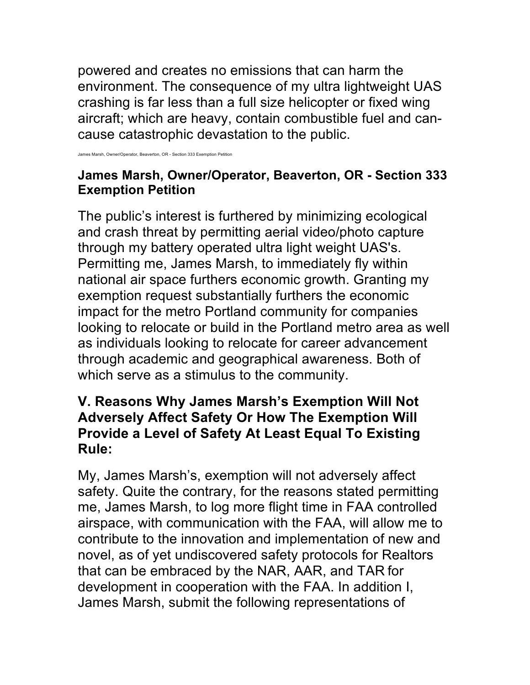powered and creates no emissions that can harm the environment. The consequence of my ultra lightweight UAS crashing is far less than a full size helicopter or fixed wing aircraft; which are heavy, contain combustible fuel and cancause catastrophic devastation to the public.

Owner/Operator, Beaverton, OR - Section 333 Exemption

## **James Marsh, Owner/Operator, Beaverton, OR - Section 333 Exemption Petition**

The public's interest is furthered by minimizing ecological and crash threat by permitting aerial video/photo capture through my battery operated ultra light weight UAS's. Permitting me, James Marsh, to immediately fly within national air space furthers economic growth. Granting my exemption request substantially furthers the economic impact for the metro Portland community for companies looking to relocate or build in the Portland metro area as well as individuals looking to relocate for career advancement through academic and geographical awareness. Both of which serve as a stimulus to the community.

## **V. Reasons Why James Marsh's Exemption Will Not Adversely Affect Safety Or How The Exemption Will Provide a Level of Safety At Least Equal To Existing Rule:**

My, James Marsh's, exemption will not adversely affect safety. Quite the contrary, for the reasons stated permitting me, James Marsh, to log more flight time in FAA controlled airspace, with communication with the FAA, will allow me to contribute to the innovation and implementation of new and novel, as of yet undiscovered safety protocols for Realtors that can be embraced by the NAR, AAR, and TAR for development in cooperation with the FAA. In addition I, James Marsh, submit the following representations of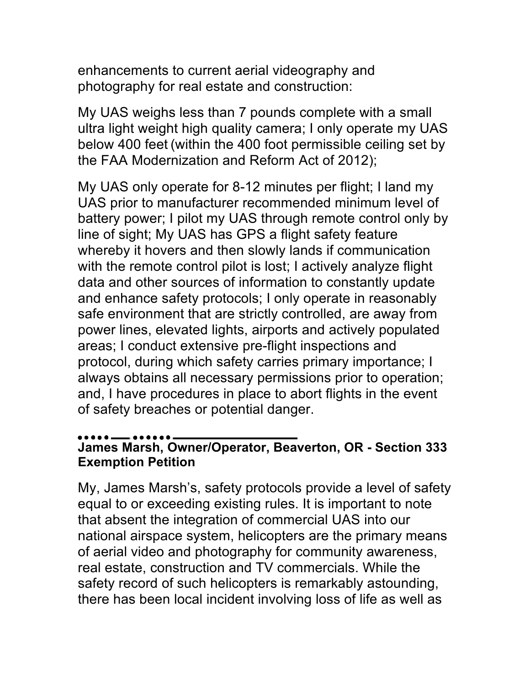enhancements to current aerial videography and photography for real estate and construction:

My UAS weighs less than 7 pounds complete with a small ultra light weight high quality camera; I only operate my UAS below 400 feet (within the 400 foot permissible ceiling set by the FAA Modernization and Reform Act of 2012);

My UAS only operate for 8-12 minutes per flight; I land my UAS prior to manufacturer recommended minimum level of battery power; I pilot my UAS through remote control only by line of sight; My UAS has GPS a flight safety feature whereby it hovers and then slowly lands if communication with the remote control pilot is lost; I actively analyze flight data and other sources of information to constantly update and enhance safety protocols; I only operate in reasonably safe environment that are strictly controlled, are away from power lines, elevated lights, airports and actively populated areas; I conduct extensive pre-flight inspections and protocol, during which safety carries primary importance; I always obtains all necessary permissions prior to operation; and, I have procedures in place to abort flights in the event of safety breaches or potential danger.

## **James Marsh, Owner/Operator, Beaverton, OR - Section 333 Exemption Petition**

My, James Marsh's, safety protocols provide a level of safety equal to or exceeding existing rules. It is important to note that absent the integration of commercial UAS into our national airspace system, helicopters are the primary means of aerial video and photography for community awareness, real estate, construction and TV commercials. While the safety record of such helicopters is remarkably astounding, there has been local incident involving loss of life as well as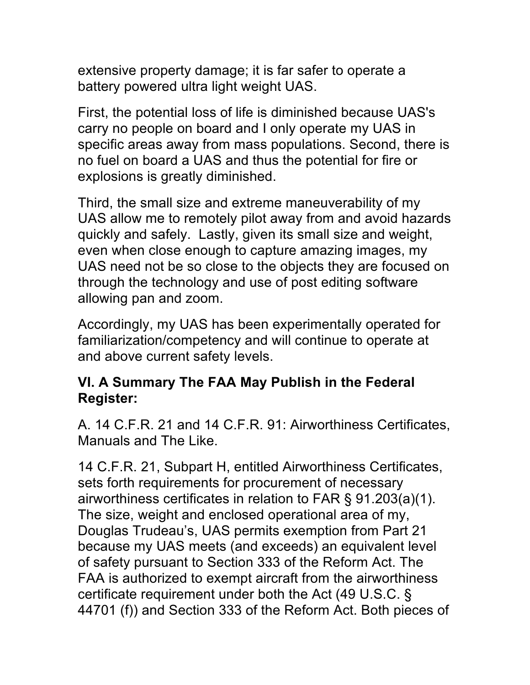extensive property damage; it is far safer to operate a battery powered ultra light weight UAS.

First, the potential loss of life is diminished because UAS's carry no people on board and I only operate my UAS in specific areas away from mass populations. Second, there is no fuel on board a UAS and thus the potential for fire or explosions is greatly diminished.

Third, the small size and extreme maneuverability of my UAS allow me to remotely pilot away from and avoid hazards quickly and safely. Lastly, given its small size and weight, even when close enough to capture amazing images, my UAS need not be so close to the objects they are focused on through the technology and use of post editing software allowing pan and zoom.

Accordingly, my UAS has been experimentally operated for familiarization/competency and will continue to operate at and above current safety levels.

## **VI. A Summary The FAA May Publish in the Federal Register:**

A. 14 C.F.R. 21 and 14 C.F.R. 91: Airworthiness Certificates, Manuals and The Like.

14 C.F.R. 21, Subpart H, entitled Airworthiness Certificates, sets forth requirements for procurement of necessary airworthiness certificates in relation to FAR § 91.203(a)(1). The size, weight and enclosed operational area of my, Douglas Trudeau's, UAS permits exemption from Part 21 because my UAS meets (and exceeds) an equivalent level of safety pursuant to Section 333 of the Reform Act. The FAA is authorized to exempt aircraft from the airworthiness certificate requirement under both the Act (49 U.S.C. § 44701 (f)) and Section 333 of the Reform Act. Both pieces of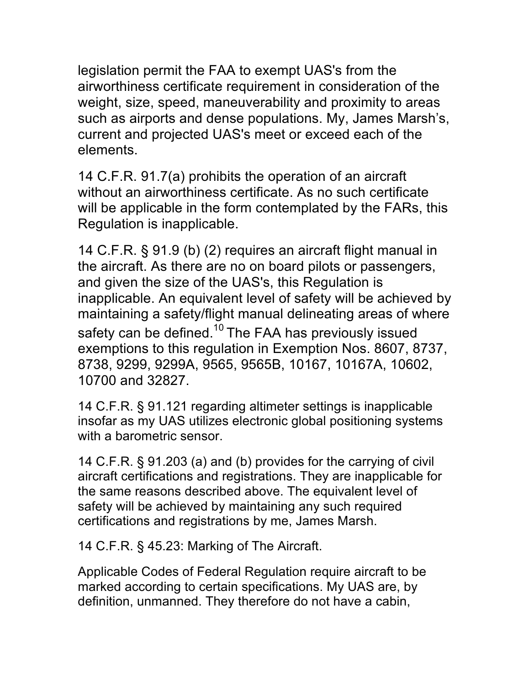legislation permit the FAA to exempt UAS's from the airworthiness certificate requirement in consideration of the weight, size, speed, maneuverability and proximity to areas such as airports and dense populations. My, James Marsh's, current and projected UAS's meet or exceed each of the elements.

14 C.F.R. 91.7(a) prohibits the operation of an aircraft without an airworthiness certificate. As no such certificate will be applicable in the form contemplated by the FARs, this Regulation is inapplicable.

14 C.F.R. § 91.9 (b) (2) requires an aircraft flight manual in the aircraft. As there are no on board pilots or passengers, and given the size of the UAS's, this Regulation is inapplicable. An equivalent level of safety will be achieved by maintaining a safety/flight manual delineating areas of where safety can be defined.<sup>10</sup> The FAA has previously issued exemptions to this regulation in Exemption Nos. 8607, 8737, 8738, 9299, 9299A, 9565, 9565B, 10167, 10167A, 10602, 10700 and 32827.

14 C.F.R. § 91.121 regarding altimeter settings is inapplicable insofar as my UAS utilizes electronic global positioning systems with a barometric sensor.

14 C.F.R. § 91.203 (a) and (b) provides for the carrying of civil aircraft certifications and registrations. They are inapplicable for the same reasons described above. The equivalent level of safety will be achieved by maintaining any such required certifications and registrations by me, James Marsh.

14 C.F.R. § 45.23: Marking of The Aircraft.

Applicable Codes of Federal Regulation require aircraft to be marked according to certain specifications. My UAS are, by definition, unmanned. They therefore do not have a cabin,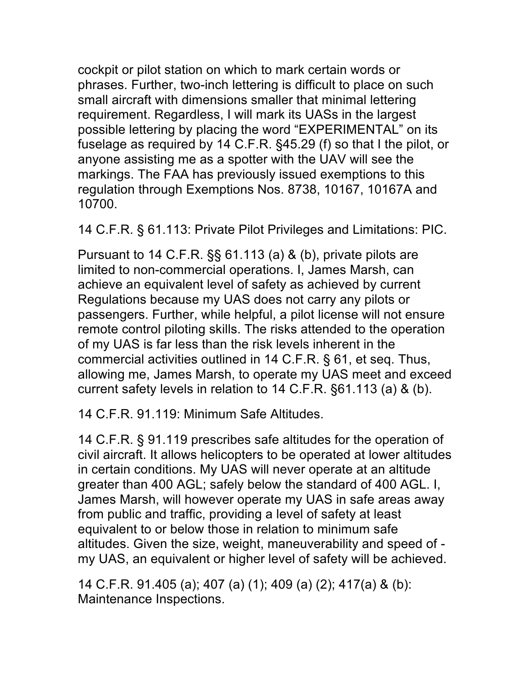cockpit or pilot station on which to mark certain words or phrases. Further, two-inch lettering is difficult to place on such small aircraft with dimensions smaller that minimal lettering requirement. Regardless, I will mark its UASs in the largest possible lettering by placing the word "EXPERIMENTAL" on its fuselage as required by 14 C.F.R. §45.29 (f) so that I the pilot, or anyone assisting me as a spotter with the UAV will see the markings. The FAA has previously issued exemptions to this regulation through Exemptions Nos. 8738, 10167, 10167A and 10700.

14 C.F.R. § 61.113: Private Pilot Privileges and Limitations: PIC.

Pursuant to 14 C.F.R. §§ 61.113 (a) & (b), private pilots are limited to non-commercial operations. I, James Marsh, can achieve an equivalent level of safety as achieved by current Regulations because my UAS does not carry any pilots or passengers. Further, while helpful, a pilot license will not ensure remote control piloting skills. The risks attended to the operation of my UAS is far less than the risk levels inherent in the commercial activities outlined in 14 C.F.R. § 61, et seq. Thus, allowing me, James Marsh, to operate my UAS meet and exceed current safety levels in relation to 14 C.F.R. §61.113 (a) & (b).

14 C.F.R. 91.119: Minimum Safe Altitudes.

14 C.F.R. § 91.119 prescribes safe altitudes for the operation of civil aircraft. It allows helicopters to be operated at lower altitudes in certain conditions. My UAS will never operate at an altitude greater than 400 AGL; safely below the standard of 400 AGL. I, James Marsh, will however operate my UAS in safe areas away from public and traffic, providing a level of safety at least equivalent to or below those in relation to minimum safe altitudes. Given the size, weight, maneuverability and speed of my UAS, an equivalent or higher level of safety will be achieved.

14 C.F.R. 91.405 (a); 407 (a) (1); 409 (a) (2); 417(a) & (b): Maintenance Inspections.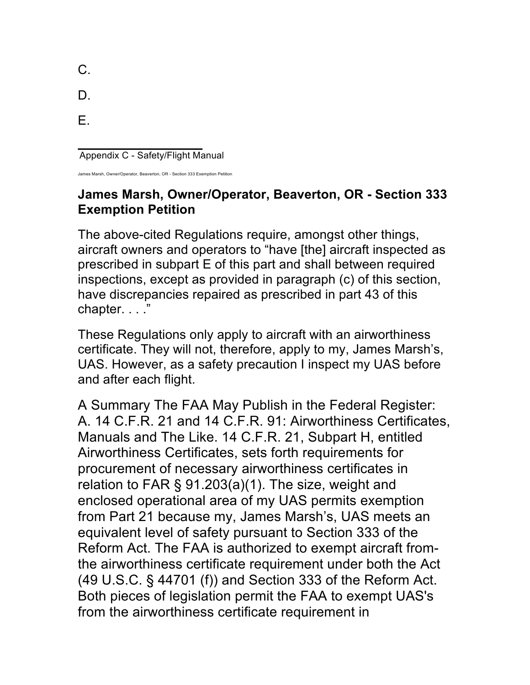| C. |  |
|----|--|
| D. |  |
| Е. |  |

Appendix C - Safety/Flight Manual

rsh, Owner/Operator, Beaverton, OR - Section 333 Exemption

## **James Marsh, Owner/Operator, Beaverton, OR - Section 333 Exemption Petition**

The above-cited Regulations require, amongst other things, aircraft owners and operators to "have [the] aircraft inspected as prescribed in subpart E of this part and shall between required inspections, except as provided in paragraph (c) of this section, have discrepancies repaired as prescribed in part 43 of this chapter. . . ."

These Regulations only apply to aircraft with an airworthiness certificate. They will not, therefore, apply to my, James Marsh's, UAS. However, as a safety precaution I inspect my UAS before and after each flight.

A Summary The FAA May Publish in the Federal Register: A. 14 C.F.R. 21 and 14 C.F.R. 91: Airworthiness Certificates, Manuals and The Like. 14 C.F.R. 21, Subpart H, entitled Airworthiness Certificates, sets forth requirements for procurement of necessary airworthiness certificates in relation to FAR § 91.203(a)(1). The size, weight and enclosed operational area of my UAS permits exemption from Part 21 because my, James Marsh's, UAS meets an equivalent level of safety pursuant to Section 333 of the Reform Act. The FAA is authorized to exempt aircraft fromthe airworthiness certificate requirement under both the Act (49 U.S.C. § 44701 (f)) and Section 333 of the Reform Act. Both pieces of legislation permit the FAA to exempt UAS's from the airworthiness certificate requirement in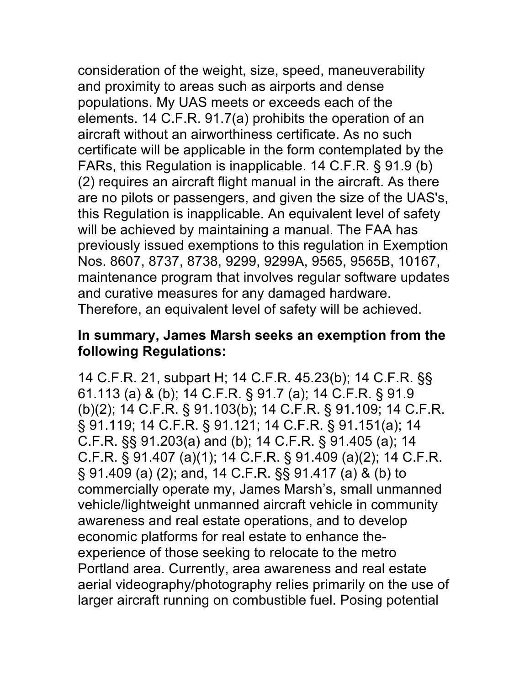consideration of the weight, size, speed, maneuverability and proximity to areas such as airports and dense populations. My UAS meets or exceeds each of the elements. 14 C.F.R. 91.7(a) prohibits the operation of an aircraft without an airworthiness certificate. As no such certificate will be applicable in the form contemplated by the FARs, this Regulation is inapplicable. 14 C.F.R. § 91.9 (b) (2) requires an aircraft flight manual in the aircraft. As there are no pilots or passengers, and given the size of the UAS's, this Regulation is inapplicable. An equivalent level of safety will be achieved by maintaining a manual. The FAA has previously issued exemptions to this regulation in Exemption Nos. 8607, 8737, 8738, 9299, 9299A, 9565, 9565B, 10167, maintenance program that involves regular software updates and curative measures for any damaged hardware. Therefore, an equivalent level of safety will be achieved.

## **In summary, James Marsh seeks an exemption from the following Regulations:**

14 C.F.R. 21, subpart H; 14 C.F.R. 45.23(b); 14 C.F.R. §§ 61.113 (a) & (b); 14 C.F.R. § 91.7 (a); 14 C.F.R. § 91.9 (b)(2); 14 C.F.R. § 91.103(b); 14 C.F.R. § 91.109; 14 C.F.R. § 91.119; 14 C.F.R. § 91.121; 14 C.F.R. § 91.151(a); 14 C.F.R. §§ 91.203(a) and (b); 14 C.F.R. § 91.405 (a); 14 C.F.R. § 91.407 (a)(1); 14 C.F.R. § 91.409 (a)(2); 14 C.F.R. § 91.409 (a) (2); and, 14 C.F.R. §§ 91.417 (a) & (b) to commercially operate my, James Marsh's, small unmanned vehicle/lightweight unmanned aircraft vehicle in community awareness and real estate operations, and to develop economic platforms for real estate to enhance theexperience of those seeking to relocate to the metro Portland area. Currently, area awareness and real estate aerial videography/photography relies primarily on the use of larger aircraft running on combustible fuel. Posing potential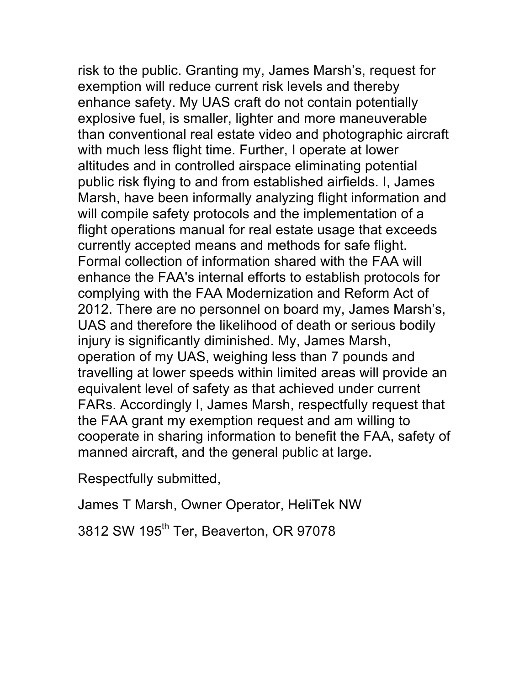risk to the public. Granting my, James Marsh's, request for exemption will reduce current risk levels and thereby enhance safety. My UAS craft do not contain potentially explosive fuel, is smaller, lighter and more maneuverable than conventional real estate video and photographic aircraft with much less flight time. Further, I operate at lower altitudes and in controlled airspace eliminating potential public risk flying to and from established airfields. I, James Marsh, have been informally analyzing flight information and will compile safety protocols and the implementation of a flight operations manual for real estate usage that exceeds currently accepted means and methods for safe flight. Formal collection of information shared with the FAA will enhance the FAA's internal efforts to establish protocols for complying with the FAA Modernization and Reform Act of 2012. There are no personnel on board my, James Marsh's, UAS and therefore the likelihood of death or serious bodily injury is significantly diminished. My, James Marsh, operation of my UAS, weighing less than 7 pounds and travelling at lower speeds within limited areas will provide an equivalent level of safety as that achieved under current FARs. Accordingly I, James Marsh, respectfully request that the FAA grant my exemption request and am willing to cooperate in sharing information to benefit the FAA, safety of manned aircraft, and the general public at large.

Respectfully submitted,

James T Marsh, Owner Operator, HeliTek NW

3812 SW 195<sup>th</sup> Ter, Beaverton, OR 97078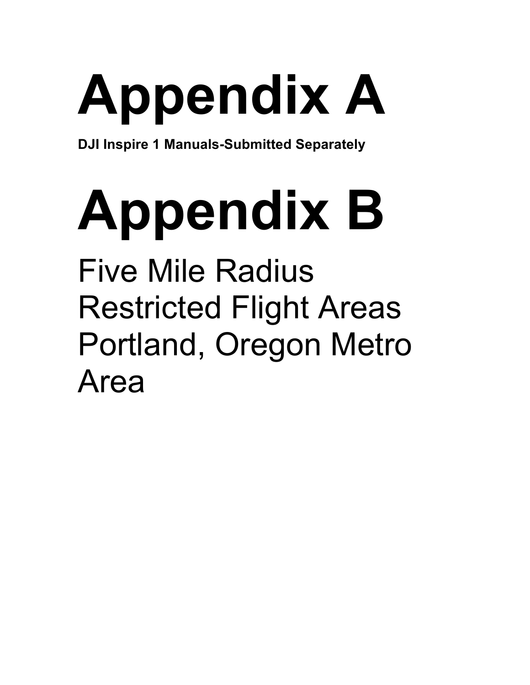# **Appendix A**

**DJI Inspire 1 Manuals-Submitted Separately**

## **Appendix B** Five Mile Radius Restricted Flight Areas

Portland, Oregon Metro Area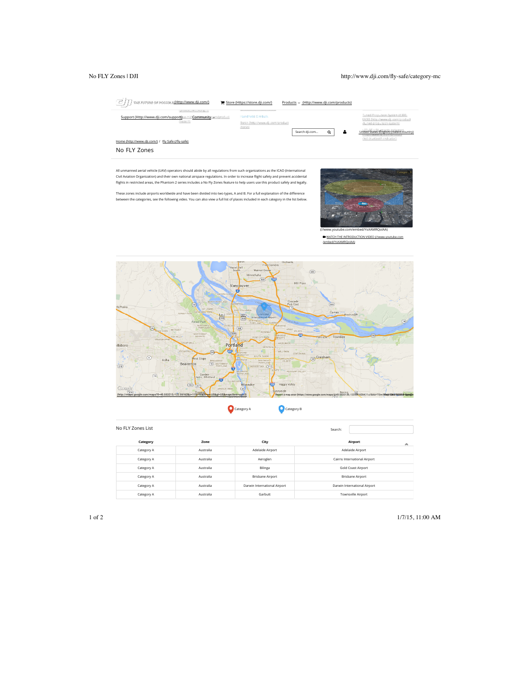### No FLY Zones | DJI http://www.dji.com/fly-safe/category-mc



| No FLY Zones List |             |                              | Search:                      |  |
|-------------------|-------------|------------------------------|------------------------------|--|
| Cattegory         | <b>Zome</b> | City                         | Aimportt<br>۰                |  |
| Category A        | Australia   | Adelaide Airport             | Adelaide Airport             |  |
| Category A        | Australia   | Aeroglen                     | Cairns International Airport |  |
| Category A        | Australia   | Bilinga                      | Gold Coast Airport           |  |
| Category A        | Australia   | <b>Brisbane Airport</b>      | <b>Brisbane Airport</b>      |  |
| Category A        | Australia   | Darwin International Airport | Darwin International Airport |  |
| Category A        | Australia   | Garbutt                      | Townsville Airport           |  |

### 1 of 2 1/7/15, 11:00 AM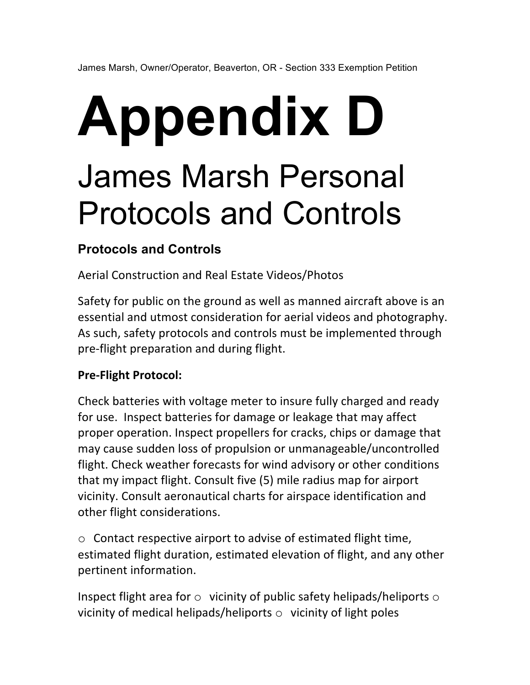## **Appendix D**  James Marsh Personal Protocols and Controls

## **Protocols and Controls**

Aerial Construction and Real Estate Videos/Photos

Safety for public on the ground as well as manned aircraft above is an essential and utmost consideration for aerial videos and photography. As such, safety protocols and controls must be implemented through pre-flight preparation and during flight.

## **Pre-Flight Protocol:**

Check batteries with voltage meter to insure fully charged and ready for use. Inspect batteries for damage or leakage that may affect proper operation. Inspect propellers for cracks, chips or damage that may cause sudden loss of propulsion or unmanageable/uncontrolled flight. Check weather forecasts for wind advisory or other conditions that my impact flight. Consult five (5) mile radius map for airport vicinity. Consult aeronautical charts for airspace identification and other flight considerations.

 $\circ$  Contact respective airport to advise of estimated flight time, estimated flight duration, estimated elevation of flight, and any other pertinent information.

Inspect flight area for  $\circ$  vicinity of public safety helipads/heliports  $\circ$ vicinity of medical helipads/heliports  $\circ$  vicinity of light poles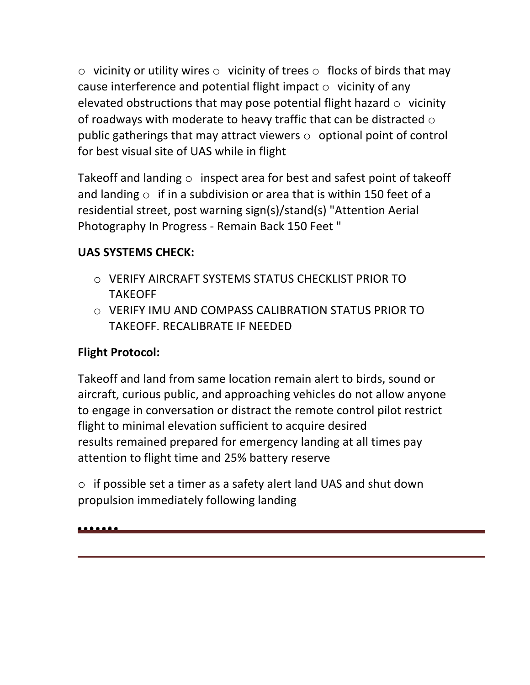$\circ$  vicinity or utility wires  $\circ$  vicinity of trees  $\circ$  flocks of birds that may cause interference and potential flight impact  $\circ$  vicinity of any elevated obstructions that may pose potential flight hazard  $\circ$  vicinity of roadways with moderate to heavy traffic that can be distracted  $\circ$ public gatherings that may attract viewers  $\circ$  optional point of control for best visual site of UAS while in flight

Takeoff and landing  $\circ$  inspect area for best and safest point of takeoff and landing  $\circ$  if in a subdivision or area that is within 150 feet of a residential street, post warning sign(s)/stand(s) "Attention Aerial Photography In Progress - Remain Back 150 Feet "

## **UAS SYSTEMS CHECK:**

- o VERIFY AIRCRAFT SYSTEMS STATUS CHECKLIST PRIOR TO TAKEOFF
- $\circ$  VERIFY IMU AND COMPASS CALIBRATION STATUS PRIOR TO TAKEOFF. RECALIBRATE IF NEEDED

## **Flight Protocol:**

Takeoff and land from same location remain alert to birds, sound or aircraft, curious public, and approaching vehicles do not allow anyone to engage in conversation or distract the remote control pilot restrict flight to minimal elevation sufficient to acquire desired results remained prepared for emergency landing at all times pay attention to flight time and 25% battery reserve

 $\circ$  if possible set a timer as a safety alert land UAS and shut down propulsion immediately following landing

<u>......</u>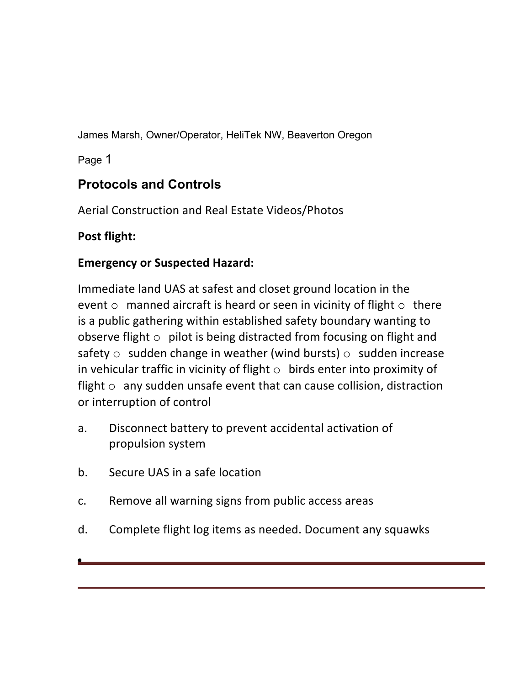James Marsh, Owner/Operator, HeliTek NW, Beaverton Oregon

Page 1

## **Protocols and Controls**

Aerial Construction and Real Estate Videos/Photos

## **Post flight:**

## **Emergency or Suspected Hazard:**

Immediate land UAS at safest and closet ground location in the event  $\circ$  manned aircraft is heard or seen in vicinity of flight  $\circ$  there is a public gathering within established safety boundary wanting to observe flight  $\circ$  pilot is being distracted from focusing on flight and safety  $\circ$  sudden change in weather (wind bursts)  $\circ$  sudden increase in vehicular traffic in vicinity of flight  $\circ$  birds enter into proximity of flight  $\circ$  any sudden unsafe event that can cause collision, distraction or interruption of control

- a. Disconnect battery to prevent accidental activation of propulsion system
- b. Secure UAS in a safe location
- c. Remove all warning signs from public access areas
- d. Complete flight log items as needed. Document any squawks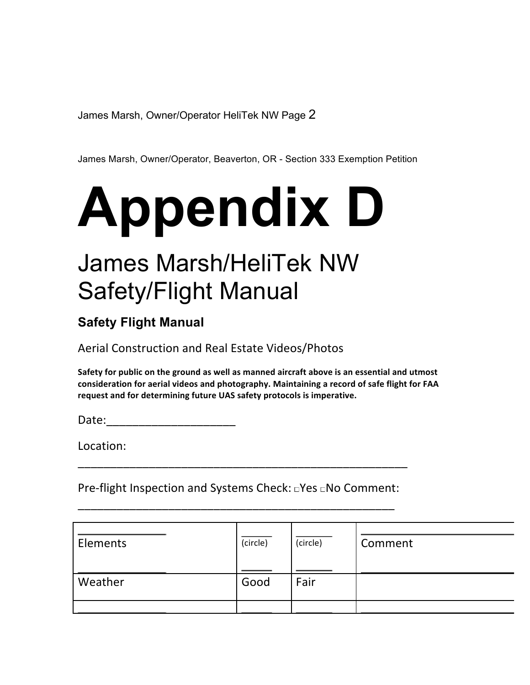James Marsh, Owner/Operator HeliTek NW Page 2

James Marsh, Owner/Operator, Beaverton, OR - Section 333 Exemption Petition

# **Appendix D**

## James Marsh/HeliTek NW Safety/Flight Manual

## **Safety Flight Manual**

Aerial Construction and Real Estate Videos/Photos

Safety for public on the ground as well as manned aircraft above is an essential and utmost consideration for aerial videos and photography. Maintaining a record of safe flight for FAA request and for determining future UAS safety protocols is imperative.

Date:

Location: 

Pre-flight Inspection and Systems Check: DYes DNo Comment: \_\_\_\_\_\_\_\_\_\_\_\_\_\_\_\_\_\_\_\_\_\_\_\_\_\_\_\_\_\_\_\_\_\_\_\_\_\_\_\_\_\_\_\_\_\_\_\_\_ 

\_\_\_\_\_\_\_\_\_\_\_\_\_\_\_\_\_\_\_\_\_\_\_\_\_\_\_\_\_\_\_\_\_\_\_\_\_\_\_\_\_\_\_\_\_\_\_\_\_\_\_ 

| Elements | (circle) | (circle) | Comment |
|----------|----------|----------|---------|
| Weather  | Good     | Fair     |         |
|          |          |          |         |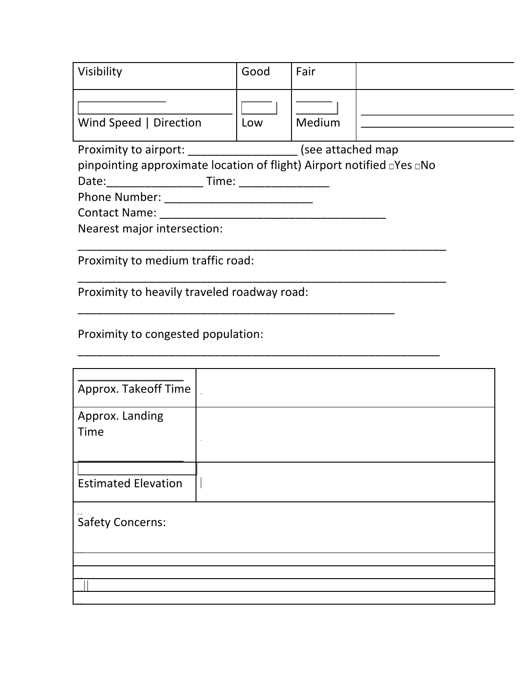| Visibility             | Good | Fair   |  |
|------------------------|------|--------|--|
| Wind Speed   Direction | Low  | Medium |  |

Proximity to airport: \_\_\_\_\_\_\_\_\_\_\_\_\_\_\_\_\_\_\_\_\_\_(see attached map

pinpointing approximate location of flight) Airport notified  $\Box$  Yes  $\Box$  No

\_\_\_\_\_\_\_\_\_\_\_\_\_\_\_\_\_\_\_\_\_\_\_\_\_\_\_\_\_\_\_\_\_\_\_\_\_\_\_\_\_\_\_\_\_\_\_\_\_\_\_\_\_\_\_\_\_

\_\_\_\_\_\_\_\_\_\_\_\_\_\_\_\_\_\_\_\_\_\_\_\_\_\_\_\_\_\_\_\_\_\_\_\_\_\_\_\_\_\_\_\_\_\_\_\_\_\_\_\_\_\_\_\_\_ 

\_\_\_\_\_\_\_\_\_\_\_\_\_\_\_\_\_\_\_\_\_\_\_\_\_\_\_\_\_\_\_\_\_\_\_\_\_\_\_\_\_\_\_\_\_\_\_\_\_\_\_\_\_\_\_\_ 

\_\_\_\_\_\_\_\_\_\_\_\_\_\_\_\_\_\_\_\_\_\_\_\_\_\_\_\_\_\_\_\_\_\_\_\_\_\_\_\_\_\_\_\_\_\_\_\_\_ 

Date:\_\_\_\_\_\_\_\_\_\_\_\_\_\_\_ Time: \_\_\_\_\_\_\_\_\_\_\_\_\_\_ 

Phone Number: \_\_\_\_\_\_\_\_\_\_\_\_\_\_\_\_\_\_\_\_\_\_\_ 

Contact Name: \_\_\_\_\_\_\_\_\_\_\_\_\_\_\_\_\_\_\_\_\_\_\_\_\_\_\_\_\_\_\_\_\_\_\_ 

Nearest major intersection:

Proximity to medium traffic road:

Proximity to heavily traveled roadway road:

Proximity to congested population:

| Approx. Takeoff Time       |  |
|----------------------------|--|
| Approx. Landing<br>Time    |  |
| <b>Estimated Elevation</b> |  |
| <b>Safety Concerns:</b>    |  |
|                            |  |
|                            |  |